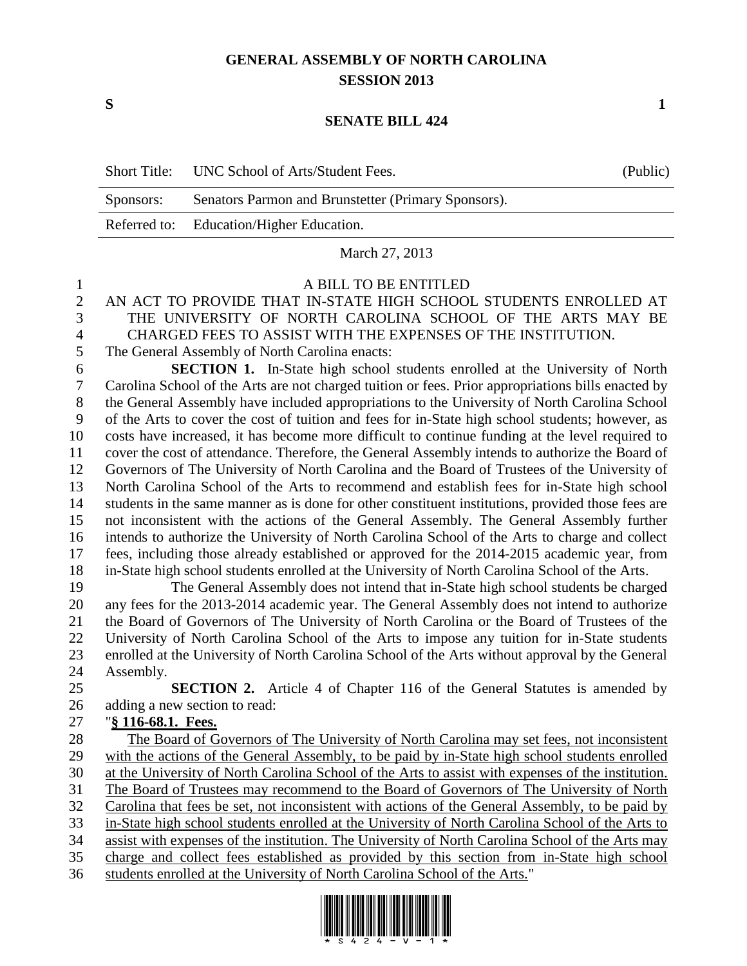## **GENERAL ASSEMBLY OF NORTH CAROLINA SESSION 2013**

**S 1**

## **SENATE BILL 424**

|           | Short Title: UNC School of Arts/Student Fees.       | (Public) |
|-----------|-----------------------------------------------------|----------|
| Sponsors: | Senators Parmon and Brunstetter (Primary Sponsors). |          |
|           | Referred to: Education/Higher Education.            |          |
|           | March 27, 2013                                      |          |

A BILL TO BE ENTITLED

- AN ACT TO PROVIDE THAT IN-STATE HIGH SCHOOL STUDENTS ENROLLED AT THE UNIVERSITY OF NORTH CAROLINA SCHOOL OF THE ARTS MAY BE CHARGED FEES TO ASSIST WITH THE EXPENSES OF THE INSTITUTION. The General Assembly of North Carolina enacts:
- 

 **SECTION 1.** In-State high school students enrolled at the University of North Carolina School of the Arts are not charged tuition or fees. Prior appropriations bills enacted by the General Assembly have included appropriations to the University of North Carolina School of the Arts to cover the cost of tuition and fees for in-State high school students; however, as costs have increased, it has become more difficult to continue funding at the level required to cover the cost of attendance. Therefore, the General Assembly intends to authorize the Board of Governors of The University of North Carolina and the Board of Trustees of the University of North Carolina School of the Arts to recommend and establish fees for in-State high school students in the same manner as is done for other constituent institutions, provided those fees are not inconsistent with the actions of the General Assembly. The General Assembly further intends to authorize the University of North Carolina School of the Arts to charge and collect fees, including those already established or approved for the 2014-2015 academic year, from in-State high school students enrolled at the University of North Carolina School of the Arts.

 The General Assembly does not intend that in-State high school students be charged any fees for the 2013-2014 academic year. The General Assembly does not intend to authorize the Board of Governors of The University of North Carolina or the Board of Trustees of the University of North Carolina School of the Arts to impose any tuition for in-State students enrolled at the University of North Carolina School of the Arts without approval by the General Assembly.

 **SECTION 2.** Article 4 of Chapter 116 of the General Statutes is amended by adding a new section to read:

## "**§ 116-68.1. Fees.**

 The Board of Governors of The University of North Carolina may set fees, not inconsistent with the actions of the General Assembly, to be paid by in-State high school students enrolled at the University of North Carolina School of the Arts to assist with expenses of the institution. The Board of Trustees may recommend to the Board of Governors of The University of North Carolina that fees be set, not inconsistent with actions of the General Assembly, to be paid by in-State high school students enrolled at the University of North Carolina School of the Arts to assist with expenses of the institution. The University of North Carolina School of the Arts may charge and collect fees established as provided by this section from in-State high school students enrolled at the University of North Carolina School of the Arts."